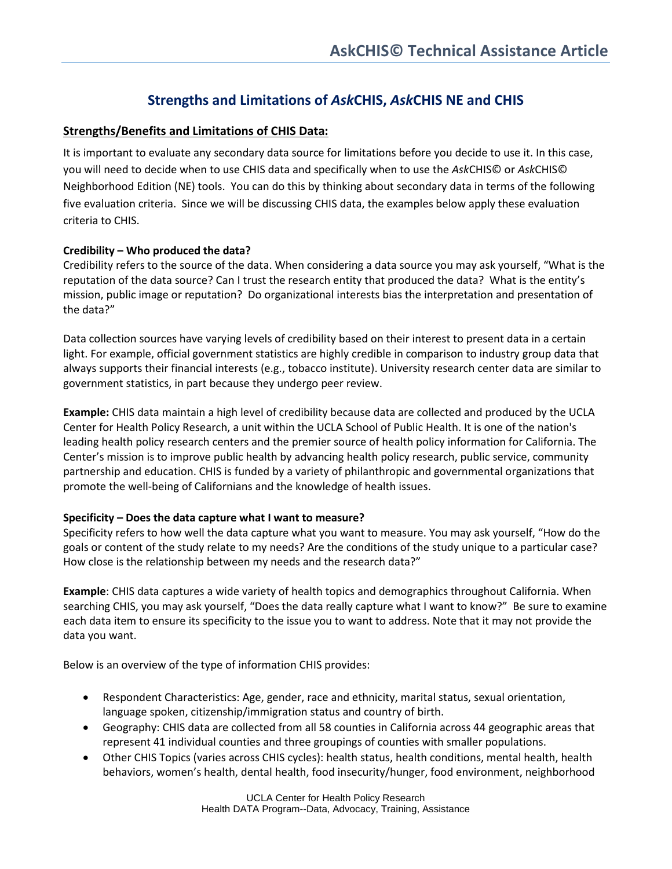# **Strengths and Limitations of** *Ask***CHIS,** *Ask***CHIS NE and CHIS**

# **Strengths/Benefits and Limitations of CHIS Data:**

It is important to evaluate any secondary data source for limitations before you decide to use it. In this case, you will need to decide when to use CHIS data and specifically when to use the *Ask*CHIS© or *Ask*CHIS© Neighborhood Edition (NE) tools. You can do this by thinking about secondary data in terms of the following five evaluation criteria. Since we will be discussing CHIS data, the examples below apply these evaluation criteria to CHIS.

# **Credibility – Who produced the data?**

Credibility refers to the source of the data. When considering a data source you may ask yourself, "What is the reputation of the data source? Can I trust the research entity that produced the data? What is the entity's mission, public image or reputation? Do organizational interests bias the interpretation and presentation of the data?"

Data collection sources have varying levels of credibility based on their interest to present data in a certain light. For example, official government statistics are highly credible in comparison to industry group data that always supports their financial interests (e.g., tobacco institute). University research center data are similar to government statistics, in part because they undergo peer review.

**Example:** CHIS data maintain a high level of credibility because data are collected and produced by the UCLA Center for Health Policy Research, a unit within the UCLA School of Public Health. It is one of the nation's leading health policy research centers and the premier source of health policy information for California. The Center's mission is to improve public health by advancing health policy research, public service, community partnership and education. CHIS is funded by a variety of philanthropic and governmental organizations that promote the well-being of Californians and the knowledge of health issues.

## **Specificity – Does the data capture what I want to measure?**

Specificity refers to how well the data capture what you want to measure. You may ask yourself, "How do the goals or content of the study relate to my needs? Are the conditions of the study unique to a particular case? How close is the relationship between my needs and the research data?"

**Example**: CHIS data captures a wide variety of health topics and demographics throughout California. When searching CHIS, you may ask yourself, "Does the data really capture what I want to know?" Be sure to examine each data item to ensure its specificity to the issue you to want to address. Note that it may not provide the data you want.

Below is an overview of the type of information CHIS provides:

- Respondent Characteristics: Age, gender, race and ethnicity, marital status, sexual orientation, language spoken, citizenship/immigration status and country of birth.
- Geography: CHIS data are collected from all 58 counties in California across 44 geographic areas that represent 41 individual counties and three groupings of counties with smaller populations.
- Other CHIS Topics (varies across CHIS cycles): health status, health conditions, mental health, health behaviors, women's health, dental health, food insecurity/hunger, food environment, neighborhood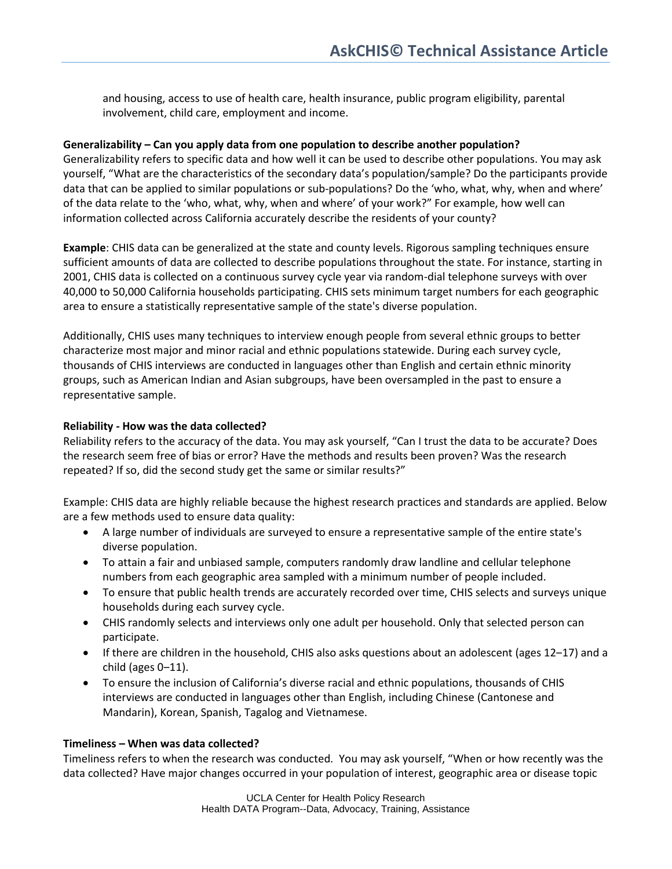and housing, access to use of health care, health insurance, public program eligibility, parental involvement, child care, employment and income.

## **Generalizability – Can you apply data from one population to describe another population?**

Generalizability refers to specific data and how well it can be used to describe other populations. You may ask yourself, "What are the characteristics of the secondary data's population/sample? Do the participants provide data that can be applied to similar populations or sub-populations? Do the 'who, what, why, when and where' of the data relate to the 'who, what, why, when and where' of your work?" For example, how well can information collected across California accurately describe the residents of your county?

**Example**: CHIS data can be generalized at the state and county levels. Rigorous sampling techniques ensure sufficient amounts of data are collected to describe populations throughout the state. For instance, starting in 2001, CHIS data is collected on a continuous survey cycle year via random-dial telephone surveys with over 40,000 to 50,000 California households participating. CHIS sets minimum target numbers for each geographic area to ensure a statistically representative sample of the state's diverse population.

Additionally, CHIS uses many techniques to interview enough people from several ethnic groups to better characterize most major and minor racial and ethnic populations statewide. During each survey cycle, thousands of CHIS interviews are conducted in languages other than English and certain ethnic minority groups, such as American Indian and Asian subgroups, have been oversampled in the past to ensure a representative sample.

## **Reliability - How was the data collected?**

Reliability refers to the accuracy of the data. You may ask yourself, "Can I trust the data to be accurate? Does the research seem free of bias or error? Have the methods and results been proven? Was the research repeated? If so, did the second study get the same or similar results?"

Example: CHIS data are highly reliable because the highest research practices and standards are applied. Below are a few methods used to ensure data quality:

- A large number of individuals are surveyed to ensure a representative sample of the entire state's diverse population.
- To attain a fair and unbiased sample, computers randomly draw landline and cellular telephone numbers from each geographic area sampled with a minimum number of people included.
- To ensure that public health trends are accurately recorded over time, CHIS selects and surveys unique households during each survey cycle.
- CHIS randomly selects and interviews only one adult per household. Only that selected person can participate.
- If there are children in the household, CHIS also asks questions about an adolescent (ages 12–17) and a child (ages  $0-11$ ).
- To ensure the inclusion of California's diverse racial and ethnic populations, thousands of CHIS interviews are conducted in languages other than English, including Chinese (Cantonese and Mandarin), Korean, Spanish, Tagalog and Vietnamese.

## **Timeliness – When was data collected?**

Timeliness refers to when the research was conducted. You may ask yourself, "When or how recently was the data collected? Have major changes occurred in your population of interest, geographic area or disease topic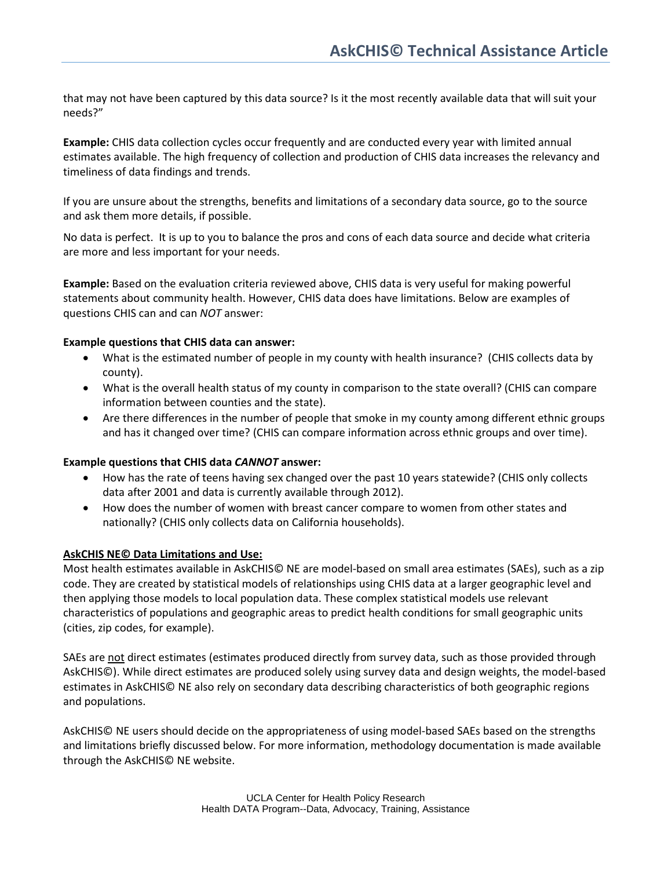that may not have been captured by this data source? Is it the most recently available data that will suit your needs?"

**Example:** CHIS data collection cycles occur frequently and are conducted every year with limited annual estimates available. The high frequency of collection and production of CHIS data increases the relevancy and timeliness of data findings and trends.

If you are unsure about the strengths, benefits and limitations of a secondary data source, go to the source and ask them more details, if possible.

No data is perfect. It is up to you to balance the pros and cons of each data source and decide what criteria are more and less important for your needs.

**Example:** Based on the evaluation criteria reviewed above, CHIS data is very useful for making powerful statements about community health. However, CHIS data does have limitations. Below are examples of questions CHIS can and can *NOT* answer:

## **Example questions that CHIS data can answer:**

- What is the estimated number of people in my county with health insurance? (CHIS collects data by county).
- What is the overall health status of my county in comparison to the state overall? (CHIS can compare information between counties and the state).
- Are there differences in the number of people that smoke in my county among different ethnic groups and has it changed over time? (CHIS can compare information across ethnic groups and over time).

## **Example questions that CHIS data** *CANNOT* **answer:**

- How has the rate of teens having sex changed over the past 10 years statewide? (CHIS only collects data after 2001 and data is currently available through 2012).
- How does the number of women with breast cancer compare to women from other states and nationally? (CHIS only collects data on California households).

## **AskCHIS NE© Data Limitations and Use:**

Most health estimates available in AskCHIS© NE are model-based on small area estimates (SAEs), such as a zip code. They are created by statistical models of relationships using CHIS data at a larger geographic level and then applying those models to local population data. These complex statistical models use relevant characteristics of populations and geographic areas to predict health conditions for small geographic units (cities, zip codes, for example).

SAEs are not direct estimates (estimates produced directly from survey data, such as those provided through AskCHIS©). While direct estimates are produced solely using survey data and design weights, the model-based estimates in AskCHIS© NE also rely on secondary data describing characteristics of both geographic regions and populations.

AskCHIS© NE users should decide on the appropriateness of using model-based SAEs based on the strengths and limitations briefly discussed below. For more information, methodology documentation is made available through the AskCHIS© NE website.